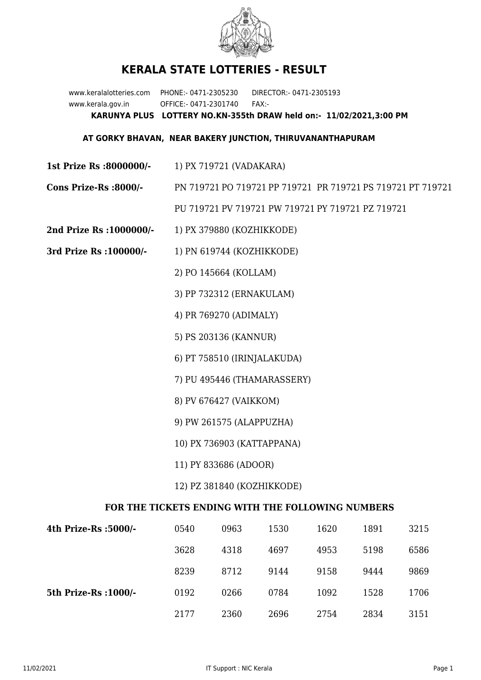

## **KERALA STATE LOTTERIES - RESULT**

www.keralalotteries.com PHONE:- 0471-2305230 DIRECTOR:- 0471-2305193 www.kerala.gov.in OFFICE:- 0471-2301740 FAX:- **KARUNYA PLUS LOTTERY NO.KN-355th DRAW held on:- 11/02/2021,3:00 PM**

## **AT GORKY BHAVAN, NEAR BAKERY JUNCTION, THIRUVANANTHAPURAM**

- **1st Prize Rs :8000000/-** 1) PX 719721 (VADAKARA)
- **Cons Prize-Rs :8000/-** PN 719721 PO 719721 PP 719721 PR 719721 PS 719721 PT 719721 PU 719721 PV 719721 PW 719721 PY 719721 PZ 719721
- **2nd Prize Rs :1000000/-** 1) PX 379880 (KOZHIKKODE)
- **3rd Prize Rs :100000/-** 1) PN 619744 (KOZHIKKODE)
	- 2) PO 145664 (KOLLAM)
	- 3) PP 732312 (ERNAKULAM)
	- 4) PR 769270 (ADIMALY)
	- 5) PS 203136 (KANNUR)
	- 6) PT 758510 (IRINJALAKUDA)
	- 7) PU 495446 (THAMARASSERY)
	- 8) PV 676427 (VAIKKOM)
	- 9) PW 261575 (ALAPPUZHA)
	- 10) PX 736903 (KATTAPPANA)
	- 11) PY 833686 (ADOOR)
	- 12) PZ 381840 (KOZHIKKODE)

## **FOR THE TICKETS ENDING WITH THE FOLLOWING NUMBERS**

| 4th Prize-Rs :5000/-  | 0540 | 0963 | 1530 | 1620 | 1891 | 3215 |
|-----------------------|------|------|------|------|------|------|
|                       | 3628 | 4318 | 4697 | 4953 | 5198 | 6586 |
|                       | 8239 | 8712 | 9144 | 9158 | 9444 | 9869 |
| 5th Prize-Rs : 1000/- | 0192 | 0266 | 0784 | 1092 | 1528 | 1706 |
|                       | 2177 | 2360 | 2696 | 2754 | 2834 | 3151 |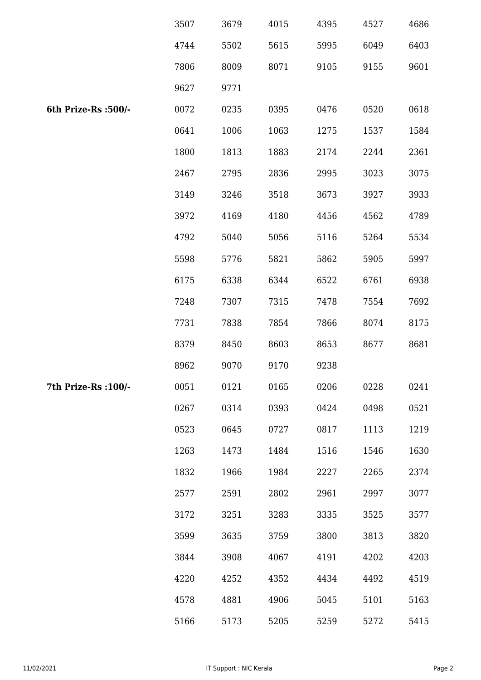|                      | 3507 | 3679 | 4015 | 4395 | 4527 | 4686 |
|----------------------|------|------|------|------|------|------|
|                      | 4744 | 5502 | 5615 | 5995 | 6049 | 6403 |
|                      | 7806 | 8009 | 8071 | 9105 | 9155 | 9601 |
|                      | 9627 | 9771 |      |      |      |      |
| 6th Prize-Rs :500/-  | 0072 | 0235 | 0395 | 0476 | 0520 | 0618 |
|                      | 0641 | 1006 | 1063 | 1275 | 1537 | 1584 |
|                      | 1800 | 1813 | 1883 | 2174 | 2244 | 2361 |
|                      | 2467 | 2795 | 2836 | 2995 | 3023 | 3075 |
|                      | 3149 | 3246 | 3518 | 3673 | 3927 | 3933 |
|                      | 3972 | 4169 | 4180 | 4456 | 4562 | 4789 |
|                      | 4792 | 5040 | 5056 | 5116 | 5264 | 5534 |
|                      | 5598 | 5776 | 5821 | 5862 | 5905 | 5997 |
|                      | 6175 | 6338 | 6344 | 6522 | 6761 | 6938 |
|                      | 7248 | 7307 | 7315 | 7478 | 7554 | 7692 |
|                      | 7731 | 7838 | 7854 | 7866 | 8074 | 8175 |
|                      | 8379 | 8450 | 8603 | 8653 | 8677 | 8681 |
|                      | 8962 | 9070 | 9170 | 9238 |      |      |
| 7th Prize-Rs : 100/- | 0051 | 0121 | 0165 | 0206 | 0228 | 0241 |
|                      | 0267 | 0314 | 0393 | 0424 | 0498 | 0521 |
|                      | 0523 | 0645 | 0727 | 0817 | 1113 | 1219 |
|                      | 1263 | 1473 | 1484 | 1516 | 1546 | 1630 |
|                      | 1832 | 1966 | 1984 | 2227 | 2265 | 2374 |
|                      | 2577 | 2591 | 2802 | 2961 | 2997 | 3077 |
|                      | 3172 | 3251 | 3283 | 3335 | 3525 | 3577 |
|                      | 3599 | 3635 | 3759 | 3800 | 3813 | 3820 |
|                      | 3844 | 3908 | 4067 | 4191 | 4202 | 4203 |
|                      | 4220 | 4252 | 4352 | 4434 | 4492 | 4519 |
|                      | 4578 | 4881 | 4906 | 5045 | 5101 | 5163 |
|                      | 5166 | 5173 | 5205 | 5259 | 5272 | 5415 |